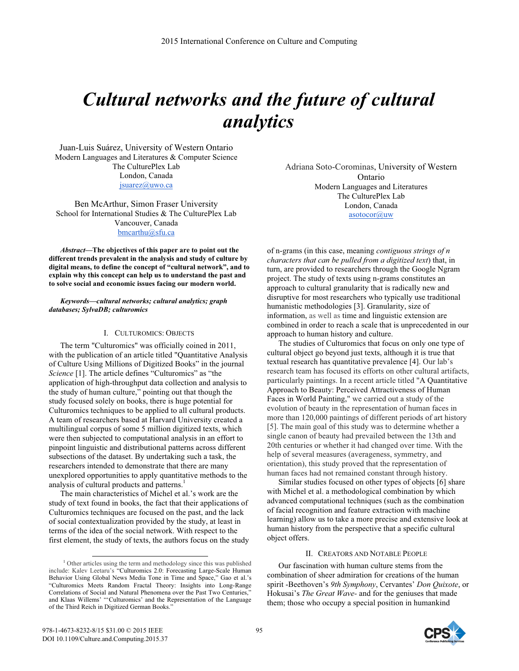# *Cultural networks and the future of cultural analytics*

Juan-Luis Suárez, University of Western Ontario Modern Languages and Literatures & Computer Science The CulturePlex Lab London, Canada jsuarez@uwo.ca

Ben McArthur, Simon Fraser University School for International Studies & The CulturePlex Lab Vancouver, Canada bmcarthu@sfu.ca

*Abstract***—The objectives of this paper are to point out the different trends prevalent in the analysis and study of culture by digital means, to define the concept of "cultural network", and to explain why this concept can help us to understand the past and to solve social and economic issues facing our modern world.** 

*Keywords—cultural networks; cultural analytics; graph databases; SylvaDB; culturomics* 

# I. CULTUROMICS: OBJECTS

The term "Culturomics" was officially coined in 2011, with the publication of an article titled "Quantitative Analysis of Culture Using Millions of Digitized Books" in the journal *Science* [1]. The article defines "Culturomics" as "the application of high-throughput data collection and analysis to the study of human culture," pointing out that though the study focused solely on books, there is huge potential for Culturomics techniques to be applied to all cultural products. A team of researchers based at Harvard University created a multilingual corpus of some 5 million digitized texts, which were then subjected to computational analysis in an effort to pinpoint linguistic and distributional patterns across different subsections of the dataset. By undertaking such a task, the researchers intended to demonstrate that there are many unexplored opportunities to apply quantitative methods to the analysis of cultural products and patterns.<sup>1</sup>

The main characteristics of Michel et al.'s work are the study of text found in books, the fact that their applications of Culturomics techniques are focused on the past, and the lack of social contextualization provided by the study, at least in terms of the idea of the social network. With respect to the first element, the study of texts, the authors focus on the study Adriana Soto-Corominas, University of Western Ontario Modern Languages and Literatures The CulturePlex Lab London, Canada asotocor@uw

of n-grams (in this case, meaning *contiguous strings of n characters that can be pulled from a digitized text*) that, in turn, are provided to researchers through the Google Ngram project. The study of texts using n-grams constitutes an approach to cultural granularity that is radically new and disruptive for most researchers who typically use traditional humanistic methodologies [3]. Granularity, size of information, as well as time and linguistic extension are combined in order to reach a scale that is unprecedented in our approach to human history and culture.

The studies of Culturomics that focus on only one type of cultural object go beyond just texts, although it is true that textual research has quantitative prevalence [4]. Our lab's research team has focused its efforts on other cultural artifacts, particularly paintings. In a recent article titled "A Quantitative Approach to Beauty: Perceived Attractiveness of Human Faces in World Painting," we carried out a study of the evolution of beauty in the representation of human faces in more than 120,000 paintings of different periods of art history [5]. The main goal of this study was to determine whether a single canon of beauty had prevailed between the 13th and 20th centuries or whether it had changed over time. With the help of several measures (averageness, symmetry, and orientation), this study proved that the representation of human faces had not remained constant through history.

Similar studies focused on other types of objects [6] share with Michel et al. a methodological combination by which advanced computational techniques (such as the combination of facial recognition and feature extraction with machine learning) allow us to take a more precise and extensive look at human history from the perspective that a specific cultural object offers.

### II. CREATORS AND NOTABLE PEOPLE

Our fascination with human culture stems from the combination of sheer admiration for creations of the human spirit -Beethoven's *9th Symphony*, Cervantes' *Don Quixote*, or Hokusai's *The Great Wave-* and for the geniuses that made them; those who occupy a special position in humankind



<sup>&</sup>lt;sup>1</sup> Other articles using the term and methodology since this was published include: Kalev Leetaru's "Culturomics 2.0: Forecasting Large-Scale Human Behavior Using Global News Media Tone in Time and Space," Gao et al.'s "Culturomics Meets Random Fractal Theory: Insights into Long-Range Correlations of Social and Natural Phenomena over the Past Two Centuries," and Klaas Willems' "'Culturomics' and the Representation of the Language of the Third Reich in Digitized German Books."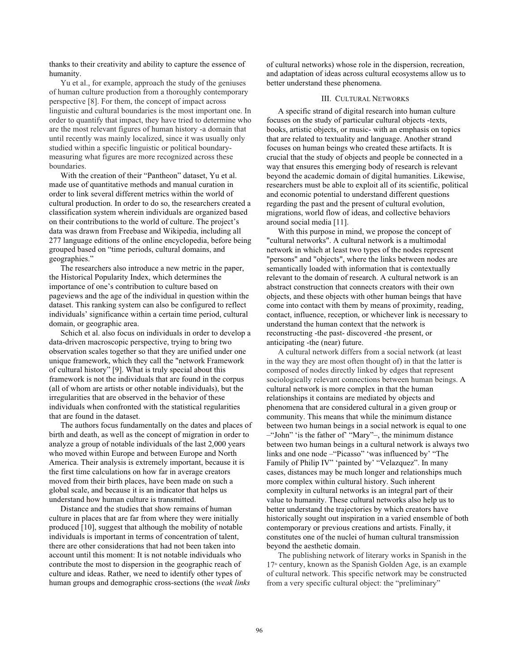thanks to their creativity and ability to capture the essence of humanity.

Yu et al., for example, approach the study of the geniuses of human culture production from a thoroughly contemporary perspective [8]. For them, the concept of impact across linguistic and cultural boundaries is the most important one. In order to quantify that impact, they have tried to determine who are the most relevant figures of human history -a domain that until recently was mainly localized, since it was usually only studied within a specific linguistic or political boundarymeasuring what figures are more recognized across these boundaries.

With the creation of their "Pantheon" dataset, Yu et al. made use of quantitative methods and manual curation in order to link several different metrics within the world of cultural production. In order to do so, the researchers created a classification system wherein individuals are organized based on their contributions to the world of culture. The project's data was drawn from Freebase and Wikipedia, including all 277 language editions of the online encyclopedia, before being grouped based on "time periods, cultural domains, and geographies."

The researchers also introduce a new metric in the paper, the Historical Popularity Index, which determines the importance of one's contribution to culture based on pageviews and the age of the individual in question within the dataset. This ranking system can also be configured to reflect individuals' significance within a certain time period, cultural domain, or geographic area.

Schich et al. also focus on individuals in order to develop a data-driven macroscopic perspective, trying to bring two observation scales together so that they are unified under one unique framework, which they call the "network Framework of cultural history" [9]. What is truly special about this framework is not the individuals that are found in the corpus (all of whom are artists or other notable individuals), but the irregularities that are observed in the behavior of these individuals when confronted with the statistical regularities that are found in the dataset.

The authors focus fundamentally on the dates and places of birth and death, as well as the concept of migration in order to analyze a group of notable individuals of the last 2,000 years who moved within Europe and between Europe and North America. Their analysis is extremely important, because it is the first time calculations on how far in average creators moved from their birth places, have been made on such a global scale, and because it is an indicator that helps us understand how human culture is transmitted.

Distance and the studies that show remains of human culture in places that are far from where they were initially produced [10], suggest that although the mobility of notable individuals is important in terms of concentration of talent, there are other considerations that had not been taken into account until this moment: It is not notable individuals who contribute the most to dispersion in the geographic reach of culture and ideas. Rather, we need to identify other types of human groups and demographic cross-sections (the *weak links* of cultural networks) whose role in the dispersion, recreation, and adaptation of ideas across cultural ecosystems allow us to better understand these phenomena.

# III. CULTURAL NETWORKS

A specific strand of digital research into human culture focuses on the study of particular cultural objects -texts, books, artistic objects, or music- with an emphasis on topics that are related to textuality and language. Another strand focuses on human beings who created these artifacts. It is crucial that the study of objects and people be connected in a way that ensures this emerging body of research is relevant beyond the academic domain of digital humanities. Likewise, researchers must be able to exploit all of its scientific, political and economic potential to understand different questions regarding the past and the present of cultural evolution, migrations, world flow of ideas, and collective behaviors around social media [11].

With this purpose in mind, we propose the concept of "cultural networks". A cultural network is a multimodal network in which at least two types of the nodes represent "persons" and "objects", where the links between nodes are semantically loaded with information that is contextually relevant to the domain of research. A cultural network is an abstract construction that connects creators with their own objects, and these objects with other human beings that have come into contact with them by means of proximity, reading, contact, influence, reception, or whichever link is necessary to understand the human context that the network is reconstructing -the past- discovered -the present, or anticipating -the (near) future.

A cultural network differs from a social network (at least in the way they are most often thought of) in that the latter is composed of nodes directly linked by edges that represent sociologically relevant connections between human beings. A cultural network is more complex in that the human relationships it contains are mediated by objects and phenomena that are considered cultural in a given group or community. This means that while the minimum distance between two human beings in a social network is equal to one –"John" 'is the father of' "Mary"–, the minimum distance between two human beings in a cultural network is always two links and one node –"Picasso" 'was influenced by' "The Family of Philip IV" 'painted by' "Velazquez". In many cases, distances may be much longer and relationships much more complex within cultural history. Such inherent complexity in cultural networks is an integral part of their value to humanity. These cultural networks also help us to better understand the trajectories by which creators have historically sought out inspiration in a varied ensemble of both contemporary or previous creations and artists. Finally, it constitutes one of the nuclei of human cultural transmission beyond the aesthetic domain.

The publishing network of literary works in Spanish in the  $17<sup>th</sup>$  century, known as the Spanish Golden Age, is an example of cultural network. This specific network may be constructed from a very specific cultural object: the "preliminary"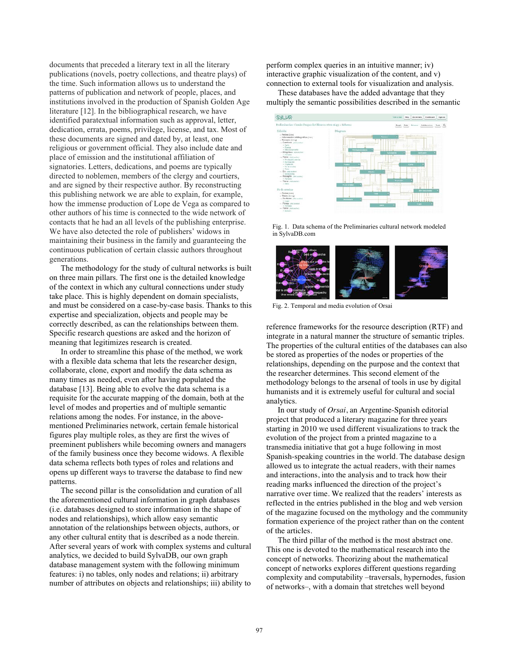documents that preceded a literary text in all the literary publications (novels, poetry collections, and theatre plays) of the time. Such information allows us to understand the patterns of publication and network of people, places, and institutions involved in the production of Spanish Golden Age literature [12]. In the bibliographical research, we have identified paratextual information such as approval, letter, dedication, errata, poems, privilege, license, and tax. Most of these documents are signed and dated by, at least, one religious or government official. They also include date and place of emission and the institutional affiliation of signatories. Letters, dedications, and poems are typically directed to noblemen, members of the clergy and courtiers, and are signed by their respective author. By reconstructing this publishing network we are able to explain, for example, how the immense production of Lope de Vega as compared to other authors of his time is connected to the wide network of contacts that he had an all levels of the publishing enterprise. We have also detected the role of publishers' widows in maintaining their business in the family and guaranteeing the continuous publication of certain classic authors throughout generations.

The methodology for the study of cultural networks is built on three main pillars. The first one is the detailed knowledge of the context in which any cultural connections under study take place. This is highly dependent on domain specialists, and must be considered on a case-by-case basis. Thanks to this expertise and specialization, objects and people may be correctly described, as can the relationships between them. Specific research questions are asked and the horizon of meaning that legitimizes research is created.

In order to streamline this phase of the method, we work with a flexible data schema that lets the researcher design, collaborate, clone, export and modify the data schema as many times as needed, even after having populated the database [13]. Being able to evolve the data schema is a requisite for the accurate mapping of the domain, both at the level of modes and properties and of multiple semantic relations among the nodes. For instance, in the abovementioned Preliminaries network, certain female historical figures play multiple roles, as they are first the wives of preeminent publishers while becoming owners and managers of the family business once they become widows. A flexible data schema reflects both types of roles and relations and opens up different ways to traverse the database to find new patterns.

The second pillar is the consolidation and curation of all the aforementioned cultural information in graph databases (i.e. databases designed to store information in the shape of nodes and relationships), which allow easy semantic annotation of the relationships between objects, authors, or any other cultural entity that is described as a node therein. After several years of work with complex systems and cultural analytics, we decided to build SylvaDB, our own graph database management system with the following minimum features: i) no tables, only nodes and relations; ii) arbitrary number of attributes on objects and relationships; iii) ability to perform complex queries in an intuitive manner; iv) interactive graphic visualization of the content, and v) connection to external tools for visualization and analysis.

These databases have the added advantage that they multiply the semantic possibilities described in the semantic



Fig. 1. Data schema of the Preliminaries cultural network modeled in SylvaDB.com



Fig. 2. Temporal and media evolution of Orsai

reference frameworks for the resource description (RTF) and integrate in a natural manner the structure of semantic triples. The properties of the cultural entities of the databases can also be stored as properties of the nodes or properties of the relationships, depending on the purpose and the context that the researcher determines. This second element of the methodology belongs to the arsenal of tools in use by digital humanists and it is extremely useful for cultural and social analytics.

In our study of *Orsai*, an Argentine-Spanish editorial project that produced a literary magazine for three years starting in 2010 we used different visualizations to track the evolution of the project from a printed magazine to a transmedia initiative that got a huge following in most Spanish-speaking countries in the world. The database design allowed us to integrate the actual readers, with their names and interactions, into the analysis and to track how their reading marks influenced the direction of the project's narrative over time. We realized that the readers' interests as reflected in the entries published in the blog and web version of the magazine focused on the mythology and the community formation experience of the project rather than on the content of the articles.

The third pillar of the method is the most abstract one. This one is devoted to the mathematical research into the concept of networks. Theorizing about the mathematical concept of networks explores different questions regarding complexity and computability –traversals, hypernodes, fusion of networks–, with a domain that stretches well beyond